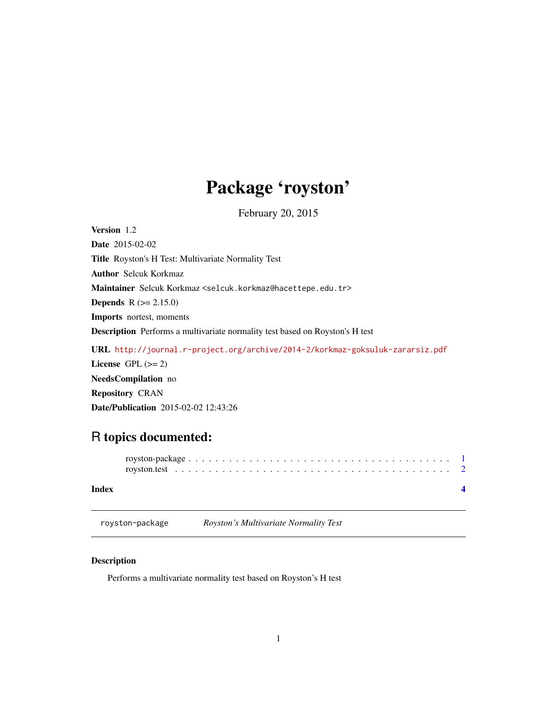## <span id="page-0-0"></span>Package 'royston'

February 20, 2015

<span id="page-0-1"></span>Version 1.2 Date 2015-02-02 Title Royston's H Test: Multivariate Normality Test Author Selcuk Korkmaz Maintainer Selcuk Korkmaz <selcuk.korkmaz@hacettepe.edu.tr> **Depends**  $R (= 2.15.0)$ Imports nortest, moments Description Performs a multivariate normality test based on Royston's H test URL <http://journal.r-project.org/archive/2014-2/korkmaz-goksuluk-zararsiz.pdf> License GPL  $(>= 2)$ NeedsCompilation no Repository CRAN Date/Publication 2015-02-02 12:43:26

### R topics documented:

| Index |  |
|-------|--|

royston-package *Royston's Multivariate Normality Test*

#### Description

Performs a multivariate normality test based on Royston's H test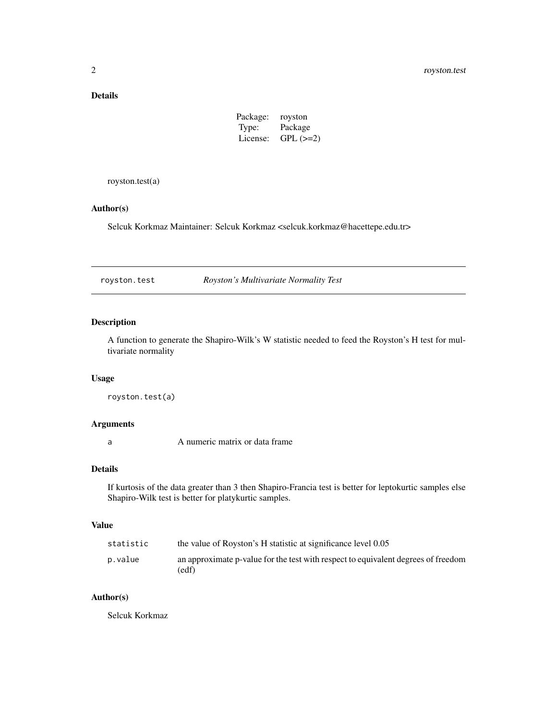#### <span id="page-1-0"></span>Details

| Package: | royston    |
|----------|------------|
| Type:    | Package    |
| License: | $GPL (=2)$ |

royston.test(a)

#### Author(s)

Selcuk Korkmaz Maintainer: Selcuk Korkmaz <selcuk.korkmaz@hacettepe.edu.tr>

royston.test *Royston's Multivariate Normality Test*

#### Description

A function to generate the Shapiro-Wilk's W statistic needed to feed the Royston's H test for multivariate normality

#### Usage

royston.test(a)

#### Arguments

a A numeric matrix or data frame

#### Details

If kurtosis of the data greater than 3 then Shapiro-Francia test is better for leptokurtic samples else Shapiro-Wilk test is better for platykurtic samples.

#### Value

| statistic | the value of Royston's H statistic at significance level 0.05                              |
|-----------|--------------------------------------------------------------------------------------------|
| p.value   | an approximate p-value for the test with respect to equivalent degrees of freedom<br>(edf) |

#### Author(s)

Selcuk Korkmaz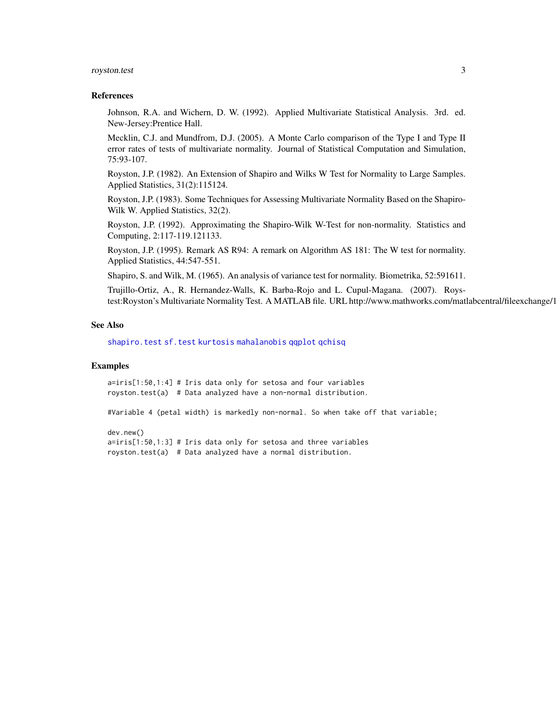#### <span id="page-2-0"></span>royston.test 3

#### References

Johnson, R.A. and Wichern, D. W. (1992). Applied Multivariate Statistical Analysis. 3rd. ed. New-Jersey:Prentice Hall.

Mecklin, C.J. and Mundfrom, D.J. (2005). A Monte Carlo comparison of the Type I and Type II error rates of tests of multivariate normality. Journal of Statistical Computation and Simulation, 75:93-107.

Royston, J.P. (1982). An Extension of Shapiro and Wilks W Test for Normality to Large Samples. Applied Statistics, 31(2):115124.

Royston, J.P. (1983). Some Techniques for Assessing Multivariate Normality Based on the Shapiro-Wilk W. Applied Statistics, 32(2).

Royston, J.P. (1992). Approximating the Shapiro-Wilk W-Test for non-normality. Statistics and Computing, 2:117-119.121133.

Royston, J.P. (1995). Remark AS R94: A remark on Algorithm AS 181: The W test for normality. Applied Statistics, 44:547-551.

Shapiro, S. and Wilk, M. (1965). An analysis of variance test for normality. Biometrika, 52:591611.

Trujillo-Ortiz, A., R. Hernandez-Walls, K. Barba-Rojo and L. Cupul-Magana. (2007). Roystest:Royston's Multivariate Normality Test. A MATLAB file. URL http://www.mathworks.com/matlabcentral/fileexchange/1

#### See Also

[shapiro.test](#page-0-1) [sf.test](#page-0-1) [kurtosis](#page-0-1) [mahalanobis](#page-0-1) [qqplot](#page-0-1) [qchisq](#page-0-1)

#### Examples

a=iris[1:50,1:4] # Iris data only for setosa and four variables royston.test(a) # Data analyzed have a non-normal distribution.

#Variable 4 (petal width) is markedly non-normal. So when take off that variable;

```
dev.new()
a=iris[1:50,1:3] # Iris data only for setosa and three variables
royston.test(a) # Data analyzed have a normal distribution.
```